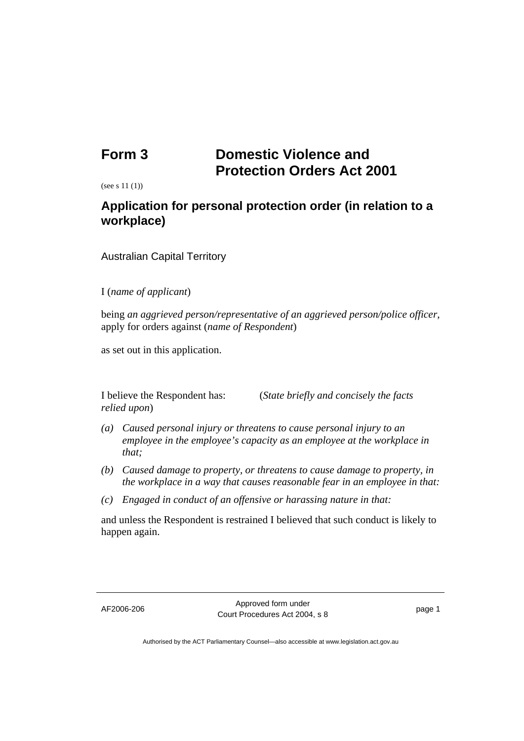## **Form 3 Domestic Violence and Protection Orders Act 2001**

(see s 11 (1))

## **Application for personal protection order (in relation to a workplace)**

Australian Capital Territory

## I (*name of applicant*)

being *an aggrieved person/representative of an aggrieved person/police officer*, apply for orders against (*name of Respondent*)

as set out in this application.

*relied upon*)

I believe the Respondent has: (*State briefly and concisely the facts* 

- *(a) Caused personal injury or threatens to cause personal injury to an employee in the employee's capacity as an employee at the workplace in that;*
- *(b) Caused damage to property, or threatens to cause damage to property, in the workplace in a way that causes reasonable fear in an employee in that:*
- *(c) Engaged in conduct of an offensive or harassing nature in that:*

and unless the Respondent is restrained I believed that such conduct is likely to happen again.

AF2006-206 Approved form under Provide form and change of the page 1

Authorised by the ACT Parliamentary Counsel—also accessible at www.legislation.act.gov.au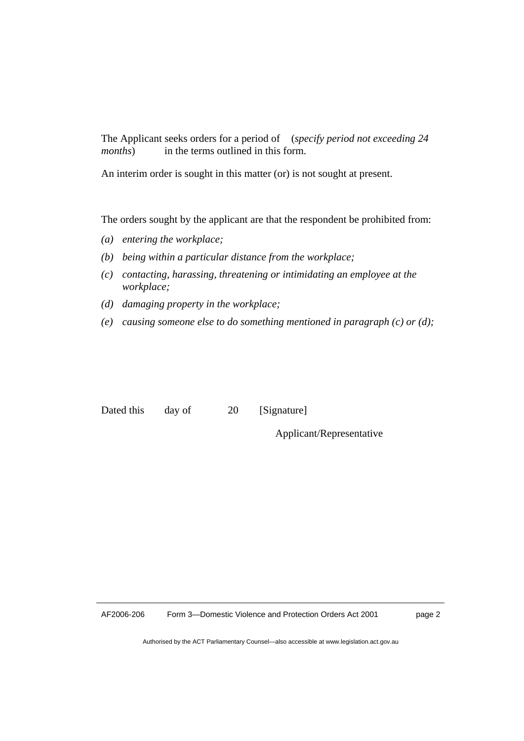The Applicant seeks orders for a period of (*specify period not exceeding 24 months*) in the terms outlined in this form.

An interim order is sought in this matter (or) is not sought at present.

The orders sought by the applicant are that the respondent be prohibited from:

- *(a) entering the workplace;*
- *(b) being within a particular distance from the workplace;*
- *(c) contacting, harassing, threatening or intimidating an employee at the workplace;*
- *(d) damaging property in the workplace;*
- *(e) causing someone else to do something mentioned in paragraph (c) or (d);*

Dated this day of 20 [Signature]

Applicant/Representative

Authorised by the ACT Parliamentary Counsel—also accessible at www.legislation.act.gov.au